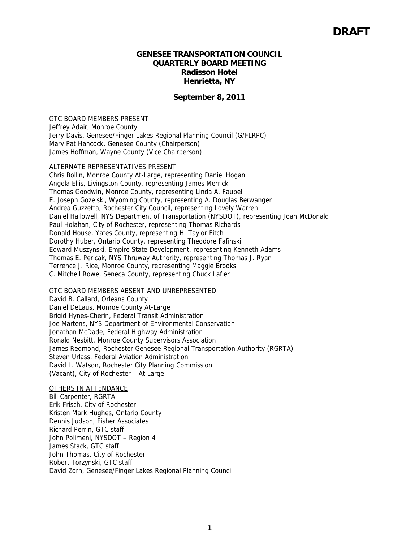#### **GENESEE TRANSPORTATION COUNCIL QUARTERLY BOARD MEETING Radisson Hotel Henrietta, NY**

#### **September 8, 2011**

#### GTC BOARD MEMBERS PRESENT

Jeffrey Adair, Monroe County Jerry Davis, Genesee/Finger Lakes Regional Planning Council (G/FLRPC) Mary Pat Hancock, Genesee County (Chairperson) James Hoffman, Wayne County (Vice Chairperson)

#### ALTERNATE REPRESENTATIVES PRESENT

Chris Bollin, Monroe County At-Large, representing Daniel Hogan Angela Ellis, Livingston County, representing James Merrick Thomas Goodwin, Monroe County, representing Linda A. Faubel E. Joseph Gozelski, Wyoming County, representing A. Douglas Berwanger Andrea Guzzetta, Rochester City Council, representing Lovely Warren Daniel Hallowell, NYS Department of Transportation (NYSDOT), representing Joan McDonald Paul Holahan, City of Rochester, representing Thomas Richards Donald House, Yates County, representing H. Taylor Fitch Dorothy Huber, Ontario County, representing Theodore Fafinski Edward Muszynski, Empire State Development, representing Kenneth Adams Thomas E. Pericak, NYS Thruway Authority, representing Thomas J. Ryan Terrence J. Rice, Monroe County, representing Maggie Brooks C. Mitchell Rowe, Seneca County, representing Chuck Lafler

#### GTC BOARD MEMBERS ABSENT AND UNREPRESENTED

David B. Callard, Orleans County Daniel DeLaus, Monroe County At-Large Brigid Hynes-Cherin, Federal Transit Administration Joe Martens, NYS Department of Environmental Conservation Jonathan McDade, Federal Highway Administration Ronald Nesbitt, Monroe County Supervisors Association James Redmond, Rochester Genesee Regional Transportation Authority (RGRTA) Steven Urlass, Federal Aviation Administration David L. Watson, Rochester City Planning Commission (Vacant), City of Rochester – At Large

#### OTHERS IN ATTENDANCE

Bill Carpenter, RGRTA Erik Frisch, City of Rochester Kristen Mark Hughes, Ontario County Dennis Judson, Fisher Associates Richard Perrin, GTC staff John Polimeni, NYSDOT – Region 4 James Stack, GTC staff John Thomas, City of Rochester Robert Torzynski, GTC staff David Zorn, Genesee/Finger Lakes Regional Planning Council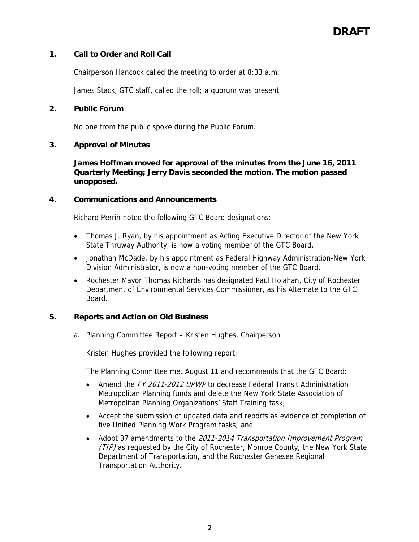## **1. Call to Order and Roll Call**

Chairperson Hancock called the meeting to order at 8:33 a.m.

James Stack, GTC staff, called the roll; a quorum was present.

#### **2. Public Forum**

No one from the public spoke during the Public Forum.

#### **3. Approval of Minutes**

**James Hoffman moved for approval of the minutes from the June 16, 2011 Quarterly Meeting; Jerry Davis seconded the motion. The motion passed unopposed.** 

#### **4. Communications and Announcements**

Richard Perrin noted the following GTC Board designations:

- Thomas J. Ryan, by his appointment as Acting Executive Director of the New York State Thruway Authority, is now a voting member of the GTC Board.
- Jonathan McDade, by his appointment as Federal Highway Administration-New York Division Administrator, is now a non-voting member of the GTC Board.
- Rochester Mayor Thomas Richards has designated Paul Holahan, City of Rochester Department of Environmental Services Commissioner, as his Alternate to the GTC Board.

#### **5. Reports and Action on Old Business**

a. Planning Committee Report – Kristen Hughes, Chairperson

Kristen Hughes provided the following report:

The Planning Committee met August 11 and recommends that the GTC Board:

- Amend the FY 2011-2012 UPWP to decrease Federal Transit Administration Metropolitan Planning funds and delete the New York State Association of Metropolitan Planning Organizations' Staff Training task;
- Accept the submission of updated data and reports as evidence of completion of five Unified Planning Work Program tasks; and
- Adopt 37 amendments to the 2011-2014 Transportation Improvement Program (TIP) as requested by the City of Rochester, Monroe County, the New York State Department of Transportation, and the Rochester Genesee Regional Transportation Authority.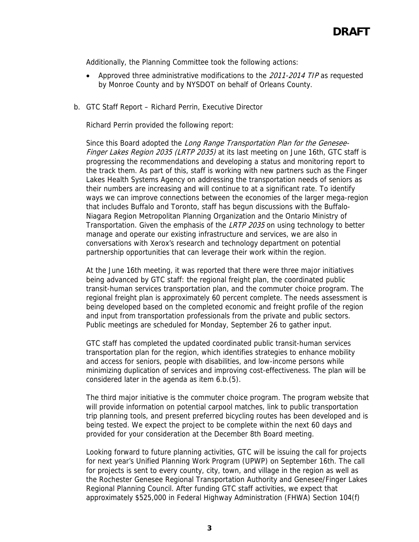Additionally, the Planning Committee took the following actions:

- Approved three administrative modifications to the 2011-2014 TIP as requested by Monroe County and by NYSDOT on behalf of Orleans County.
- b. GTC Staff Report Richard Perrin, Executive Director

Richard Perrin provided the following report:

Since this Board adopted the Long Range Transportation Plan for the Genesee-Finger Lakes Region 2035 (LRTP 2035) at its last meeting on June 16th, GTC staff is progressing the recommendations and developing a status and monitoring report to the track them. As part of this, staff is working with new partners such as the Finger Lakes Health Systems Agency on addressing the transportation needs of seniors as their numbers are increasing and will continue to at a significant rate. To identify ways we can improve connections between the economies of the larger mega-region that includes Buffalo and Toronto, staff has begun discussions with the Buffalo-Niagara Region Metropolitan Planning Organization and the Ontario Ministry of Transportation. Given the emphasis of the LRTP 2035 on using technology to better manage and operate our existing infrastructure and services, we are also in conversations with Xerox's research and technology department on potential partnership opportunities that can leverage their work within the region.

At the June 16th meeting, it was reported that there were three major initiatives being advanced by GTC staff: the regional freight plan, the coordinated public transit-human services transportation plan, and the commuter choice program. The regional freight plan is approximately 60 percent complete. The needs assessment is being developed based on the completed economic and freight profile of the region and input from transportation professionals from the private and public sectors. Public meetings are scheduled for Monday, September 26 to gather input.

GTC staff has completed the updated coordinated public transit-human services transportation plan for the region, which identifies strategies to enhance mobility and access for seniors, people with disabilities, and low-income persons while minimizing duplication of services and improving cost-effectiveness. The plan will be considered later in the agenda as item 6.b.(5).

The third major initiative is the commuter choice program. The program website that will provide information on potential carpool matches, link to public transportation trip planning tools, and present preferred bicycling routes has been developed and is being tested. We expect the project to be complete within the next 60 days and provided for your consideration at the December 8th Board meeting.

Looking forward to future planning activities, GTC will be issuing the call for projects for next year's Unified Planning Work Program (UPWP) on September 16th. The call for projects is sent to every county, city, town, and village in the region as well as the Rochester Genesee Regional Transportation Authority and Genesee/Finger Lakes Regional Planning Council. After funding GTC staff activities, we expect that approximately \$525,000 in Federal Highway Administration (FHWA) Section 104(f)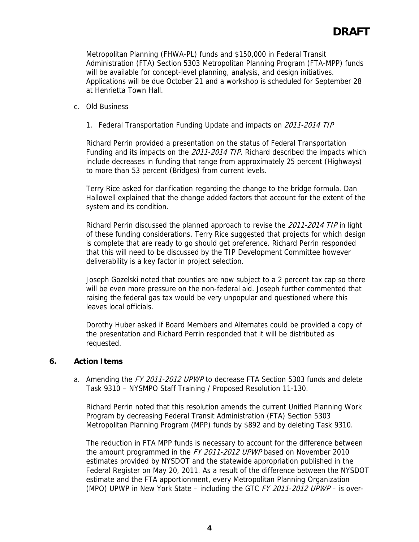Metropolitan Planning (FHWA-PL) funds and \$150,000 in Federal Transit Administration (FTA) Section 5303 Metropolitan Planning Program (FTA-MPP) funds will be available for concept-level planning, analysis, and design initiatives. Applications will be due October 21 and a workshop is scheduled for September 28 at Henrietta Town Hall.

#### c. Old Business

1. Federal Transportation Funding Update and impacts on 2011-2014 TIP

Richard Perrin provided a presentation on the status of Federal Transportation Funding and its impacts on the 2011-2014 TIP. Richard described the impacts which include decreases in funding that range from approximately 25 percent (Highways) to more than 53 percent (Bridges) from current levels.

Terry Rice asked for clarification regarding the change to the bridge formula. Dan Hallowell explained that the change added factors that account for the extent of the system and its condition.

Richard Perrin discussed the planned approach to revise the 2011-2014 TIP in light of these funding considerations. Terry Rice suggested that projects for which design is complete that are ready to go should get preference. Richard Perrin responded that this will need to be discussed by the TIP Development Committee however deliverability is a key factor in project selection.

Joseph Gozelski noted that counties are now subject to a 2 percent tax cap so there will be even more pressure on the non-federal aid. Joseph further commented that raising the federal gas tax would be very unpopular and questioned where this leaves local officials.

Dorothy Huber asked if Board Members and Alternates could be provided a copy of the presentation and Richard Perrin responded that it will be distributed as requested.

#### **6. Action Items**

a. Amending the FY 2011-2012 UPWP to decrease FTA Section 5303 funds and delete Task 9310 – NYSMPO Staff Training / Proposed Resolution 11-130.

Richard Perrin noted that this resolution amends the current Unified Planning Work Program by decreasing Federal Transit Administration (FTA) Section 5303 Metropolitan Planning Program (MPP) funds by \$892 and by deleting Task 9310.

The reduction in FTA MPP funds is necessary to account for the difference between the amount programmed in the FY 2011-2012 UPWP based on November 2010 estimates provided by NYSDOT and the statewide appropriation published in the Federal Register on May 20, 2011. As a result of the difference between the NYSDOT estimate and the FTA apportionment, every Metropolitan Planning Organization (MPO) UPWP in New York State – including the GTC FY 2011-2012 UPWP – is over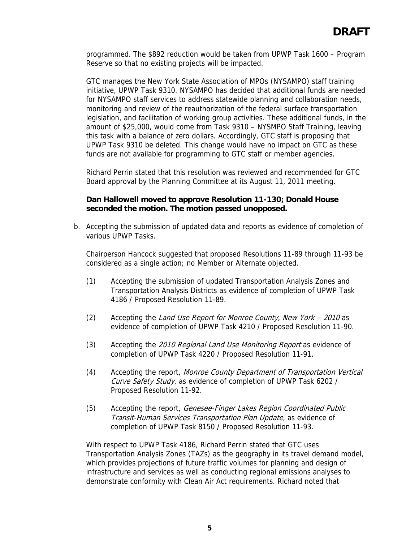programmed. The \$892 reduction would be taken from UPWP Task 1600 – Program Reserve so that no existing projects will be impacted.

GTC manages the New York State Association of MPOs (NYSAMPO) staff training initiative, UPWP Task 9310. NYSAMPO has decided that additional funds are needed for NYSAMPO staff services to address statewide planning and collaboration needs, monitoring and review of the reauthorization of the federal surface transportation legislation, and facilitation of working group activities. These additional funds, in the amount of \$25,000, would come from Task 9310 – NYSMPO Staff Training, leaving this task with a balance of zero dollars. Accordingly, GTC staff is proposing that UPWP Task 9310 be deleted. This change would have no impact on GTC as these funds are not available for programming to GTC staff or member agencies.

Richard Perrin stated that this resolution was reviewed and recommended for GTC Board approval by the Planning Committee at its August 11, 2011 meeting.

## **Dan Hallowell moved to approve Resolution 11-130; Donald House seconded the motion. The motion passed unopposed.**

b. Accepting the submission of updated data and reports as evidence of completion of various UPWP Tasks.

Chairperson Hancock suggested that proposed Resolutions 11-89 through 11-93 be considered as a single action; no Member or Alternate objected.

- (1) Accepting the submission of updated Transportation Analysis Zones and Transportation Analysis Districts as evidence of completion of UPWP Task 4186 / Proposed Resolution 11-89.
- (2) Accepting the Land Use Report for Monroe County, New York 2010 as evidence of completion of UPWP Task 4210 / Proposed Resolution 11-90.
- (3) Accepting the 2010 Regional Land Use Monitoring Report as evidence of completion of UPWP Task 4220 / Proposed Resolution 11-91.
- (4) Accepting the report, Monroe County Department of Transportation Vertical Curve Safety Study, as evidence of completion of UPWP Task 6202 / Proposed Resolution 11-92.
- (5) Accepting the report, Genesee-Finger Lakes Region Coordinated Public Transit-Human Services Transportation Plan Update, as evidence of completion of UPWP Task 8150 / Proposed Resolution 11-93.

With respect to UPWP Task 4186, Richard Perrin stated that GTC uses Transportation Analysis Zones (TAZs) as the geography in its travel demand model, which provides projections of future traffic volumes for planning and design of infrastructure and services as well as conducting regional emissions analyses to demonstrate conformity with Clean Air Act requirements. Richard noted that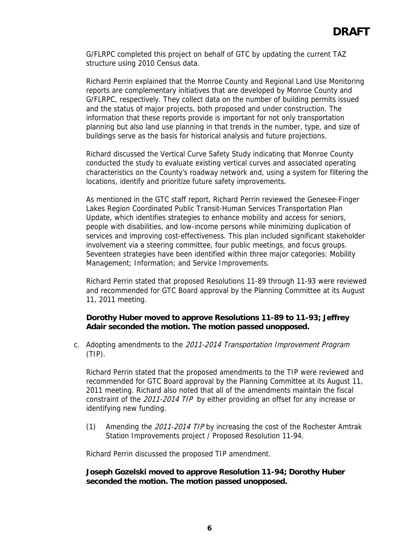G/FLRPC completed this project on behalf of GTC by updating the current TAZ structure using 2010 Census data.

Richard Perrin explained that the Monroe County and Regional Land Use Monitoring reports are complementary initiatives that are developed by Monroe County and G/FLRPC, respectively. They collect data on the number of building permits issued and the status of major projects, both proposed and under construction. The information that these reports provide is important for not only transportation planning but also land use planning in that trends in the number, type, and size of buildings serve as the basis for historical analysis and future projections.

Richard discussed the Vertical Curve Safety Study indicating that Monroe County conducted the study to evaluate existing vertical curves and associated operating characteristics on the County's roadway network and, using a system for filtering the locations, identify and prioritize future safety improvements.

As mentioned in the GTC staff report, Richard Perrin reviewed the Genesee-Finger Lakes Region Coordinated Public Transit-Human Services Transportation Plan Update, which identifies strategies to enhance mobility and access for seniors, people with disabilities, and low-income persons while minimizing duplication of services and improving cost-effectiveness. This plan included significant stakeholder involvement via a steering committee, four public meetings, and focus groups. Seventeen strategies have been identified within three major categories: Mobility Management; Information; and Service Improvements.

Richard Perrin stated that proposed Resolutions 11-89 through 11-93 were reviewed and recommended for GTC Board approval by the Planning Committee at its August 11, 2011 meeting.

# **Dorothy Huber moved to approve Resolutions 11-89 to 11-93; Jeffrey Adair seconded the motion. The motion passed unopposed.**

c. Adopting amendments to the 2011-2014 Transportation Improvement Program (TIP).

Richard Perrin stated that the proposed amendments to the TIP were reviewed and recommended for GTC Board approval by the Planning Committee at its August 11, 2011 meeting. Richard also noted that all of the amendments maintain the fiscal constraint of the 2011-2014 TIP by either providing an offset for any increase or identifying new funding.

(1) Amending the 2011-2014 TIP by increasing the cost of the Rochester Amtrak Station Improvements project / Proposed Resolution 11-94.

Richard Perrin discussed the proposed TIP amendment.

## **Joseph Gozelski moved to approve Resolution 11-94; Dorothy Huber seconded the motion. The motion passed unopposed.**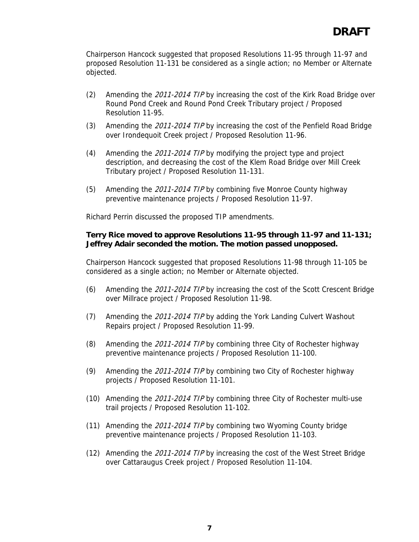Chairperson Hancock suggested that proposed Resolutions 11-95 through 11-97 and proposed Resolution 11-131 be considered as a single action; no Member or Alternate objected.

- (2) Amending the 2011-2014 TIP by increasing the cost of the Kirk Road Bridge over Round Pond Creek and Round Pond Creek Tributary project / Proposed Resolution 11-95.
- (3) Amending the 2011-2014 TIP by increasing the cost of the Penfield Road Bridge over Irondequoit Creek project / Proposed Resolution 11-96.
- (4) Amending the 2011-2014 TIP by modifying the project type and project description, and decreasing the cost of the Klem Road Bridge over Mill Creek Tributary project / Proposed Resolution 11-131.
- (5) Amending the 2011-2014 TIP by combining five Monroe County highway preventive maintenance projects / Proposed Resolution 11-97.

Richard Perrin discussed the proposed TIP amendments.

## **Terry Rice moved to approve Resolutions 11-95 through 11-97 and 11-131; Jeffrey Adair seconded the motion. The motion passed unopposed.**

Chairperson Hancock suggested that proposed Resolutions 11-98 through 11-105 be considered as a single action; no Member or Alternate objected.

- (6) Amending the 2011-2014 TIP by increasing the cost of the Scott Crescent Bridge over Millrace project / Proposed Resolution 11-98.
- (7) Amending the 2011-2014 TIP by adding the York Landing Culvert Washout Repairs project / Proposed Resolution 11-99.
- (8) Amending the 2011-2014 TIP by combining three City of Rochester highway preventive maintenance projects / Proposed Resolution 11-100.
- (9) Amending the 2011-2014 TIP by combining two City of Rochester highway projects / Proposed Resolution 11-101.
- (10) Amending the 2011-2014 TIP by combining three City of Rochester multi-use trail projects / Proposed Resolution 11-102.
- (11) Amending the 2011-2014 TIP by combining two Wyoming County bridge preventive maintenance projects / Proposed Resolution 11-103.
- (12) Amending the 2011-2014 TIP by increasing the cost of the West Street Bridge over Cattaraugus Creek project / Proposed Resolution 11-104.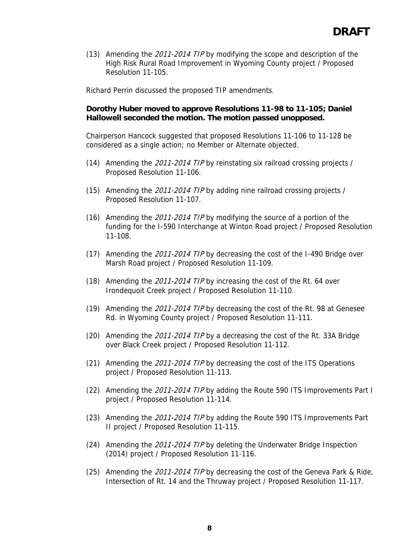(13) Amending the 2011-2014 TIP by modifying the scope and description of the High Risk Rural Road Improvement in Wyoming County project / Proposed Resolution 11-105.

Richard Perrin discussed the proposed TIP amendments.

## **Dorothy Huber moved to approve Resolutions 11-98 to 11-105; Daniel Hallowell seconded the motion. The motion passed unopposed.**

Chairperson Hancock suggested that proposed Resolutions 11-106 to 11-128 be considered as a single action; no Member or Alternate objected.

- (14) Amending the 2011-2014 TIP by reinstating six railroad crossing projects / Proposed Resolution 11-106.
- (15) Amending the 2011-2014 TIP by adding nine railroad crossing projects / Proposed Resolution 11-107.
- (16) Amending the 2011-2014 TIP by modifying the source of a portion of the funding for the I-590 Interchange at Winton Road project / Proposed Resolution 11-108.
- (17) Amending the 2011-2014 TIP by decreasing the cost of the I-490 Bridge over Marsh Road project / Proposed Resolution 11-109.
- (18) Amending the 2011-2014 TIP by increasing the cost of the Rt. 64 over Irondequoit Creek project / Proposed Resolution 11-110.
- (19) Amending the 2011-2014 TIP by decreasing the cost of the Rt. 98 at Genesee Rd. in Wyoming County project / Proposed Resolution 11-111.
- (20) Amending the 2011-2014 TIP by a decreasing the cost of the Rt. 33A Bridge over Black Creek project / Proposed Resolution 11-112.
- (21) Amending the 2011-2014 TIP by decreasing the cost of the ITS Operations project / Proposed Resolution 11-113.
- (22) Amending the 2011-2014 TIP by adding the Route 590 ITS Improvements Part I project / Proposed Resolution 11-114.
- (23) Amending the 2011-2014 TIP by adding the Route 590 ITS Improvements Part II project / Proposed Resolution 11-115.
- (24) Amending the 2011-2014 TIP by deleting the Underwater Bridge Inspection (2014) project / Proposed Resolution 11-116.
- (25) Amending the 2011-2014 TIP by decreasing the cost of the Geneva Park & Ride, Intersection of Rt. 14 and the Thruway project / Proposed Resolution 11-117.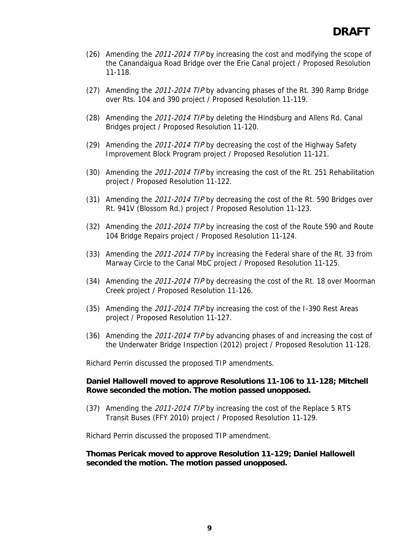- (26) Amending the 2011-2014 TIP by increasing the cost and modifying the scope of the Canandaigua Road Bridge over the Erie Canal project / Proposed Resolution 11-118.
- (27) Amending the 2011-2014 TIP by advancing phases of the Rt. 390 Ramp Bridge over Rts. 104 and 390 project / Proposed Resolution 11-119.
- (28) Amending the 2011-2014 TIP by deleting the Hindsburg and Allens Rd. Canal Bridges project / Proposed Resolution 11-120.
- (29) Amending the 2011-2014 TIP by decreasing the cost of the Highway Safety Improvement Block Program project / Proposed Resolution 11-121.
- (30) Amending the 2011-2014 TIP by increasing the cost of the Rt. 251 Rehabilitation project / Proposed Resolution 11-122.
- (31) Amending the 2011-2014 TIP by decreasing the cost of the Rt. 590 Bridges over Rt. 941V (Blossom Rd.) project / Proposed Resolution 11-123.
- (32) Amending the 2011-2014 TIP by increasing the cost of the Route 590 and Route 104 Bridge Repairs project / Proposed Resolution 11-124.
- (33) Amending the 2011-2014 TIP by increasing the Federal share of the Rt. 33 from Marway Circle to the Canal MbC project / Proposed Resolution 11-125.
- (34) Amending the 2011-2014 TIP by decreasing the cost of the Rt. 18 over Moorman Creek project / Proposed Resolution 11-126.
- (35) Amending the 2011-2014 TIP by increasing the cost of the I-390 Rest Areas project / Proposed Resolution 11-127.
- (36) Amending the 2011-2014 TIP by advancing phases of and increasing the cost of the Underwater Bridge Inspection (2012) project / Proposed Resolution 11-128.

Richard Perrin discussed the proposed TIP amendments.

#### **Daniel Hallowell moved to approve Resolutions 11-106 to 11-128; Mitchell Rowe seconded the motion. The motion passed unopposed.**

(37) Amending the 2011-2014 TIP by increasing the cost of the Replace 5 RTS Transit Buses (FFY 2010) project / Proposed Resolution 11-129.

Richard Perrin discussed the proposed TIP amendment.

#### **Thomas Pericak moved to approve Resolution 11-129; Daniel Hallowell seconded the motion. The motion passed unopposed.**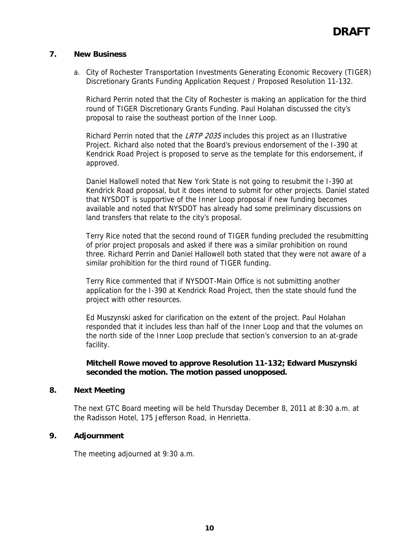# **7. New Business**

a. City of Rochester Transportation Investments Generating Economic Recovery (TIGER) Discretionary Grants Funding Application Request / Proposed Resolution 11-132.

Richard Perrin noted that the City of Rochester is making an application for the third round of TIGER Discretionary Grants Funding. Paul Holahan discussed the city's proposal to raise the southeast portion of the Inner Loop.

Richard Perrin noted that the LRTP 2035 includes this project as an Illustrative Project. Richard also noted that the Board's previous endorsement of the I-390 at Kendrick Road Project is proposed to serve as the template for this endorsement, if approved.

Daniel Hallowell noted that New York State is not going to resubmit the I-390 at Kendrick Road proposal, but it does intend to submit for other projects. Daniel stated that NYSDOT is supportive of the Inner Loop proposal if new funding becomes available and noted that NYSDOT has already had some preliminary discussions on land transfers that relate to the city's proposal.

Terry Rice noted that the second round of TIGER funding precluded the resubmitting of prior project proposals and asked if there was a similar prohibition on round three. Richard Perrin and Daniel Hallowell both stated that they were not aware of a similar prohibition for the third round of TIGER funding.

Terry Rice commented that if NYSDOT-Main Office is not submitting another application for the I-390 at Kendrick Road Project, then the state should fund the project with other resources.

Ed Muszynski asked for clarification on the extent of the project. Paul Holahan responded that it includes less than half of the Inner Loop and that the volumes on the north side of the Inner Loop preclude that section's conversion to an at-grade facility.

# **Mitchell Rowe moved to approve Resolution 11-132; Edward Muszynski seconded the motion. The motion passed unopposed.**

## **8. Next Meeting**

The next GTC Board meeting will be held Thursday December 8, 2011 at 8:30 a.m. at the Radisson Hotel, 175 Jefferson Road, in Henrietta.

## **9. Adjournment**

The meeting adjourned at 9:30 a.m.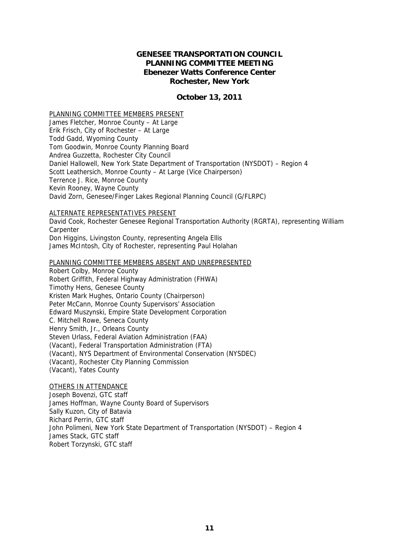#### **GENESEE TRANSPORTATION COUNCIL PLANNING COMMITTEE MEETING Ebenezer Watts Conference Center Rochester, New York**

#### **October 13, 2011**

#### PLANNING COMMITTEE MEMBERS PRESENT

James Fletcher, Monroe County – At Large Erik Frisch, City of Rochester – At Large Todd Gadd, Wyoming County Tom Goodwin, Monroe County Planning Board Andrea Guzzetta, Rochester City Council Daniel Hallowell, New York State Department of Transportation (NYSDOT) – Region 4 Scott Leathersich, Monroe County – At Large (Vice Chairperson) Terrence J. Rice, Monroe County Kevin Rooney, Wayne County David Zorn, Genesee/Finger Lakes Regional Planning Council (G/FLRPC)

#### ALTERNATE REPRESENTATIVES PRESENT

David Cook, Rochester Genesee Regional Transportation Authority (RGRTA), representing William **Carpenter** Don Higgins, Livingston County, representing Angela Ellis

James McIntosh, City of Rochester, representing Paul Holahan

#### PLANNING COMMITTEE MEMBERS ABSENT AND UNREPRESENTED

Robert Colby, Monroe County Robert Griffith, Federal Highway Administration (FHWA) Timothy Hens, Genesee County Kristen Mark Hughes, Ontario County (Chairperson) Peter McCann, Monroe County Supervisors' Association Edward Muszynski, Empire State Development Corporation C. Mitchell Rowe, Seneca County Henry Smith, Jr., Orleans County Steven Urlass, Federal Aviation Administration (FAA) (Vacant), Federal Transportation Administration (FTA) (Vacant), NYS Department of Environmental Conservation (NYSDEC) (Vacant), Rochester City Planning Commission (Vacant), Yates County

#### OTHERS IN ATTENDANCE

Joseph Bovenzi, GTC staff James Hoffman, Wayne County Board of Supervisors Sally Kuzon, City of Batavia Richard Perrin, GTC staff John Polimeni, New York State Department of Transportation (NYSDOT) – Region 4 James Stack, GTC staff Robert Torzynski, GTC staff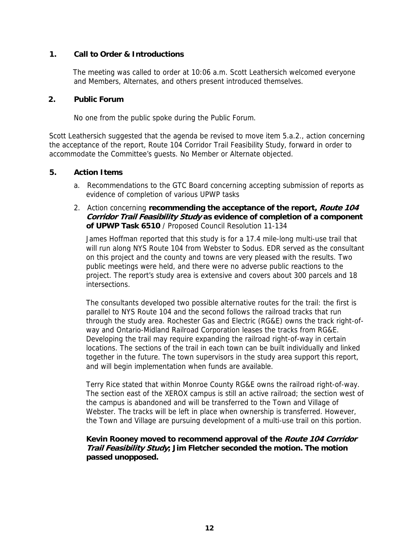# **1. Call to Order & Introductions**

The meeting was called to order at 10:06 a.m. Scott Leathersich welcomed everyone and Members, Alternates, and others present introduced themselves.

#### **2. Public Forum**

No one from the public spoke during the Public Forum.

Scott Leathersich suggested that the agenda be revised to move item 5.a.2., action concerning the acceptance of the report, Route 104 Corridor Trail Feasibility Study, forward in order to accommodate the Committee's guests. No Member or Alternate objected.

#### **5. Action Items**

- a. Recommendations to the GTC Board concerning accepting submission of reports as evidence of completion of various UPWP tasks
- 2. Action concerning **recommending the acceptance of the report, Route 104 Corridor Trail Feasibility Study as evidence of completion of a component of UPWP Task 6510** / Proposed Council Resolution 11-134

James Hoffman reported that this study is for a 17.4 mile-long multi-use trail that will run along NYS Route 104 from Webster to Sodus. EDR served as the consultant on this project and the county and towns are very pleased with the results. Two public meetings were held, and there were no adverse public reactions to the project. The report's study area is extensive and covers about 300 parcels and 18 intersections.

The consultants developed two possible alternative routes for the trail: the first is parallel to NYS Route 104 and the second follows the railroad tracks that run through the study area. Rochester Gas and Electric (RG&E) owns the track right-ofway and Ontario-Midland Railroad Corporation leases the tracks from RG&E. Developing the trail may require expanding the railroad right-of-way in certain locations. The sections of the trail in each town can be built individually and linked together in the future. The town supervisors in the study area support this report, and will begin implementation when funds are available.

Terry Rice stated that within Monroe County RG&E owns the railroad right-of-way. The section east of the XEROX campus is still an active railroad; the section west of the campus is abandoned and will be transferred to the Town and Village of Webster. The tracks will be left in place when ownership is transferred. However, the Town and Village are pursuing development of a multi-use trail on this portion.

# **Kevin Rooney moved to recommend approval of the Route 104 Corridor Trail Feasibility Study; Jim Fletcher seconded the motion. The motion passed unopposed.**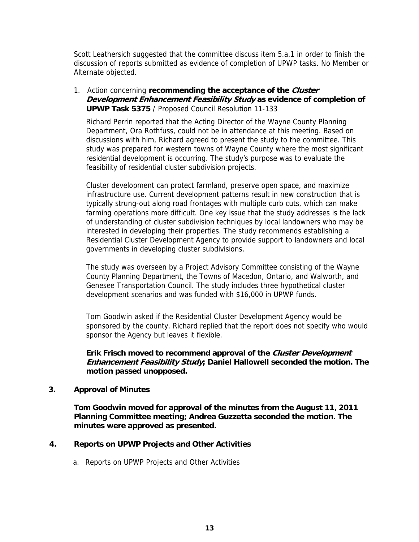Scott Leathersich suggested that the committee discuss item 5.a.1 in order to finish the discussion of reports submitted as evidence of completion of UPWP tasks. No Member or Alternate objected.

1. Action concerning **recommending the acceptance of the Cluster Development Enhancement Feasibility Study as evidence of completion of UPWP Task 5375** / Proposed Council Resolution 11-133

Richard Perrin reported that the Acting Director of the Wayne County Planning Department, Ora Rothfuss, could not be in attendance at this meeting. Based on discussions with him, Richard agreed to present the study to the committee. This study was prepared for western towns of Wayne County where the most significant residential development is occurring. The study's purpose was to evaluate the feasibility of residential cluster subdivision projects.

Cluster development can protect farmland, preserve open space, and maximize infrastructure use. Current development patterns result in new construction that is typically strung-out along road frontages with multiple curb cuts, which can make farming operations more difficult. One key issue that the study addresses is the lack of understanding of cluster subdivision techniques by local landowners who may be interested in developing their properties. The study recommends establishing a Residential Cluster Development Agency to provide support to landowners and local governments in developing cluster subdivisions.

The study was overseen by a Project Advisory Committee consisting of the Wayne County Planning Department, the Towns of Macedon, Ontario, and Walworth, and Genesee Transportation Council. The study includes three hypothetical cluster development scenarios and was funded with \$16,000 in UPWP funds.

Tom Goodwin asked if the Residential Cluster Development Agency would be sponsored by the county. Richard replied that the report does not specify who would sponsor the Agency but leaves it flexible.

**Erik Frisch moved to recommend approval of the Cluster Development Enhancement Feasibility Study; Daniel Hallowell seconded the motion. The motion passed unopposed.**

## **3. Approval of Minutes**

**Tom Goodwin moved for approval of the minutes from the August 11, 2011 Planning Committee meeting; Andrea Guzzetta seconded the motion. The minutes were approved as presented.** 

## **4. Reports on UPWP Projects and Other Activities**

a. Reports on UPWP Projects and Other Activities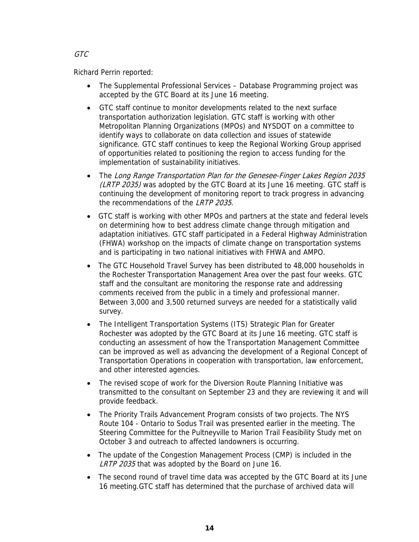GTC

Richard Perrin reported:

- The Supplemental Professional Services Database Programming project was accepted by the GTC Board at its June 16 meeting.
- GTC staff continue to monitor developments related to the next surface transportation authorization legislation. GTC staff is working with other Metropolitan Planning Organizations (MPOs) and NYSDOT on a committee to identify ways to collaborate on data collection and issues of statewide significance. GTC staff continues to keep the Regional Working Group apprised of opportunities related to positioning the region to access funding for the implementation of sustainability initiatives.
- The Long Range Transportation Plan for the Genesee-Finger Lakes Region 2035 (LRTP 2035) was adopted by the GTC Board at its June 16 meeting. GTC staff is continuing the development of monitoring report to track progress in advancing the recommendations of the LRTP 2035.
- GTC staff is working with other MPOs and partners at the state and federal levels on determining how to best address climate change through mitigation and adaptation initiatives. GTC staff participated in a Federal Highway Administration (FHWA) workshop on the impacts of climate change on transportation systems and is participating in two national initiatives with FHWA and AMPO.
- The GTC Household Travel Survey has been distributed to 48,000 households in the Rochester Transportation Management Area over the past four weeks. GTC staff and the consultant are monitoring the response rate and addressing comments received from the public in a timely and professional manner. Between 3,000 and 3,500 returned surveys are needed for a statistically valid survey.
- The Intelligent Transportation Systems (ITS) Strategic Plan for Greater Rochester was adopted by the GTC Board at its June 16 meeting. GTC staff is conducting an assessment of how the Transportation Management Committee can be improved as well as advancing the development of a Regional Concept of Transportation Operations in cooperation with transportation, law enforcement, and other interested agencies.
- The revised scope of work for the Diversion Route Planning Initiative was transmitted to the consultant on September 23 and they are reviewing it and will provide feedback.
- The Priority Trails Advancement Program consists of two projects. The NYS Route 104 - Ontario to Sodus Trail was presented earlier in the meeting. The Steering Committee for the Pultneyville to Marion Trail Feasibility Study met on October 3 and outreach to affected landowners is occurring.
- The update of the Congestion Management Process (CMP) is included in the LRTP 2035 that was adopted by the Board on June 16.
- The second round of travel time data was accepted by the GTC Board at its June 16 meeting.GTC staff has determined that the purchase of archived data will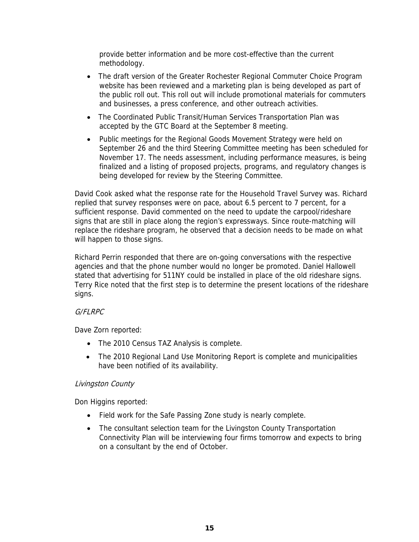provide better information and be more cost-effective than the current methodology.

- The draft version of the Greater Rochester Regional Commuter Choice Program website has been reviewed and a marketing plan is being developed as part of the public roll out. This roll out will include promotional materials for commuters and businesses, a press conference, and other outreach activities.
- The Coordinated Public Transit/Human Services Transportation Plan was accepted by the GTC Board at the September 8 meeting.
- Public meetings for the Regional Goods Movement Strategy were held on September 26 and the third Steering Committee meeting has been scheduled for November 17. The needs assessment, including performance measures, is being finalized and a listing of proposed projects, programs, and regulatory changes is being developed for review by the Steering Committee.

David Cook asked what the response rate for the Household Travel Survey was. Richard replied that survey responses were on pace, about 6.5 percent to 7 percent, for a sufficient response. David commented on the need to update the carpool/rideshare signs that are still in place along the region's expressways. Since route-matching will replace the rideshare program, he observed that a decision needs to be made on what will happen to those signs.

Richard Perrin responded that there are on-going conversations with the respective agencies and that the phone number would no longer be promoted. Daniel Hallowell stated that advertising for 511NY could be installed in place of the old rideshare signs. Terry Rice noted that the first step is to determine the present locations of the rideshare signs.

## G/FLRPC

Dave Zorn reported:

- The 2010 Census TAZ Analysis is complete.
- The 2010 Regional Land Use Monitoring Report is complete and municipalities have been notified of its availability.

## Livingston County

Don Higgins reported:

- Field work for the Safe Passing Zone study is nearly complete.
- The consultant selection team for the Livingston County Transportation Connectivity Plan will be interviewing four firms tomorrow and expects to bring on a consultant by the end of October.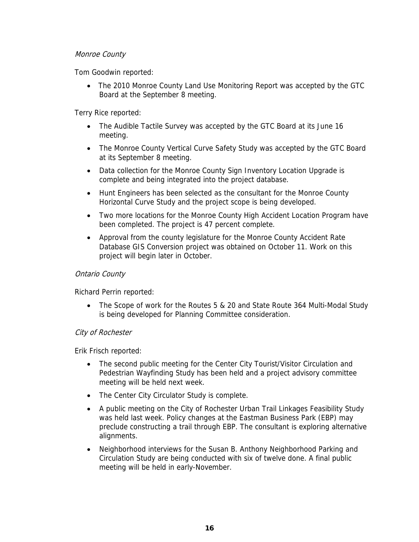## Monroe County

Tom Goodwin reported:

• The 2010 Monroe County Land Use Monitoring Report was accepted by the GTC Board at the September 8 meeting.

Terry Rice reported:

- The Audible Tactile Survey was accepted by the GTC Board at its June 16 meeting.
- The Monroe County Vertical Curve Safety Study was accepted by the GTC Board at its September 8 meeting.
- Data collection for the Monroe County Sign Inventory Location Upgrade is complete and being integrated into the project database.
- Hunt Engineers has been selected as the consultant for the Monroe County Horizontal Curve Study and the project scope is being developed.
- Two more locations for the Monroe County High Accident Location Program have been completed. The project is 47 percent complete.
- Approval from the county legislature for the Monroe County Accident Rate Database GIS Conversion project was obtained on October 11. Work on this project will begin later in October.

#### Ontario County

Richard Perrin reported:

• The Scope of work for the Routes 5 & 20 and State Route 364 Multi-Modal Study is being developed for Planning Committee consideration.

## City of Rochester

Erik Frisch reported:

- The second public meeting for the Center City Tourist/Visitor Circulation and Pedestrian Wayfinding Study has been held and a project advisory committee meeting will be held next week.
- The Center City Circulator Study is complete.
- A public meeting on the City of Rochester Urban Trail Linkages Feasibility Study was held last week. Policy changes at the Eastman Business Park (EBP) may preclude constructing a trail through EBP. The consultant is exploring alternative alignments.
- Neighborhood interviews for the Susan B. Anthony Neighborhood Parking and Circulation Study are being conducted with six of twelve done. A final public meeting will be held in early-November.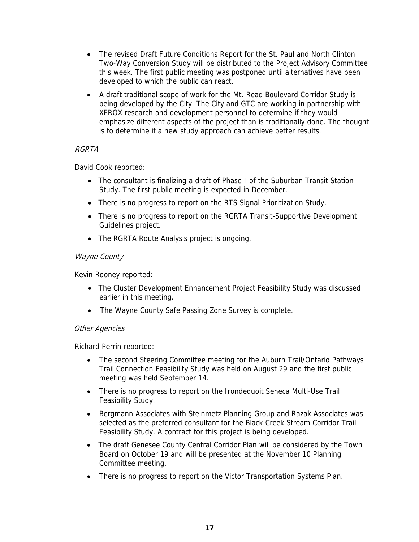- The revised Draft Future Conditions Report for the St. Paul and North Clinton Two-Way Conversion Study will be distributed to the Project Advisory Committee this week. The first public meeting was postponed until alternatives have been developed to which the public can react.
- A draft traditional scope of work for the Mt. Read Boulevard Corridor Study is being developed by the City. The City and GTC are working in partnership with XEROX research and development personnel to determine if they would emphasize different aspects of the project than is traditionally done. The thought is to determine if a new study approach can achieve better results.

# RGRTA

David Cook reported:

- The consultant is finalizing a draft of Phase I of the Suburban Transit Station Study. The first public meeting is expected in December.
- There is no progress to report on the RTS Signal Prioritization Study.
- There is no progress to report on the RGRTA Transit-Supportive Development Guidelines project.
- The RGRTA Route Analysis project is ongoing.

## Wayne County

Kevin Rooney reported:

- The Cluster Development Enhancement Project Feasibility Study was discussed earlier in this meeting.
- The Wayne County Safe Passing Zone Survey is complete.

## Other Agencies

Richard Perrin reported:

- The second Steering Committee meeting for the Auburn Trail/Ontario Pathways Trail Connection Feasibility Study was held on August 29 and the first public meeting was held September 14.
- There is no progress to report on the Irondequoit Seneca Multi-Use Trail Feasibility Study.
- Bergmann Associates with Steinmetz Planning Group and Razak Associates was selected as the preferred consultant for the Black Creek Stream Corridor Trail Feasibility Study. A contract for this project is being developed.
- The draft Genesee County Central Corridor Plan will be considered by the Town Board on October 19 and will be presented at the November 10 Planning Committee meeting.
- There is no progress to report on the Victor Transportation Systems Plan.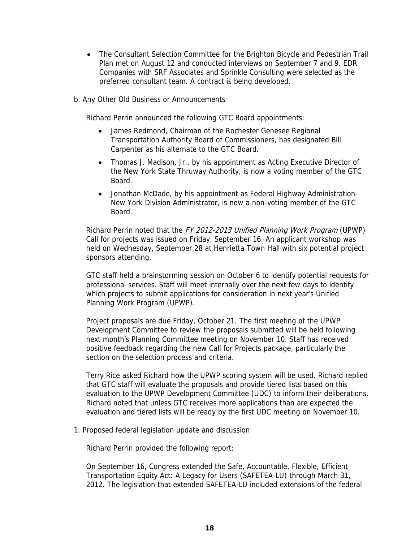- The Consultant Selection Committee for the Brighton Bicycle and Pedestrian Trail Plan met on August 12 and conducted interviews on September 7 and 9. EDR Companies with SRF Associates and Sprinkle Consulting were selected as the preferred consultant team. A contract is being developed.
- b. Any Other Old Business or Announcements

Richard Perrin announced the following GTC Board appointments:

- James Redmond, Chairman of the Rochester Genesee Regional Transportation Authority Board of Commissioners, has designated Bill Carpenter as his alternate to the GTC Board.
- Thomas J. Madison, Jr., by his appointment as Acting Executive Director of the New York State Thruway Authority, is now a voting member of the GTC Board.
- Jonathan McDade, by his appointment as Federal Highway Administration-New York Division Administrator, is now a non-voting member of the GTC Board.

Richard Perrin noted that the FY 2012-2013 Unified Planning Work Program (UPWP) Call for projects was issued on Friday, September 16. An applicant workshop was held on Wednesday, September 28 at Henrietta Town Hall with six potential project sponsors attending.

GTC staff held a brainstorming session on October 6 to identify potential requests for professional services. Staff will meet internally over the next few days to identify which projects to submit applications for consideration in next year's Unified Planning Work Program (UPWP).

Project proposals are due Friday, October 21. The first meeting of the UPWP Development Committee to review the proposals submitted will be held following next month's Planning Committee meeting on November 10. Staff has received positive feedback regarding the new Call for Projects package, particularly the section on the selection process and criteria.

Terry Rice asked Richard how the UPWP scoring system will be used. Richard replied that GTC staff will evaluate the proposals and provide tiered lists based on this evaluation to the UPWP Development Committee (UDC) to inform their deliberations. Richard noted that unless GTC receives more applications than are expected the evaluation and tiered lists will be ready by the first UDC meeting on November 10.

1. Proposed federal legislation update and discussion

Richard Perrin provided the following report:

On September 16, Congress extended the Safe, Accountable, Flexible, Efficient Transportation Equity Act: A Legacy for Users (SAFETEA-LU) through March 31, 2012. The legislation that extended SAFETEA-LU included extensions of the federal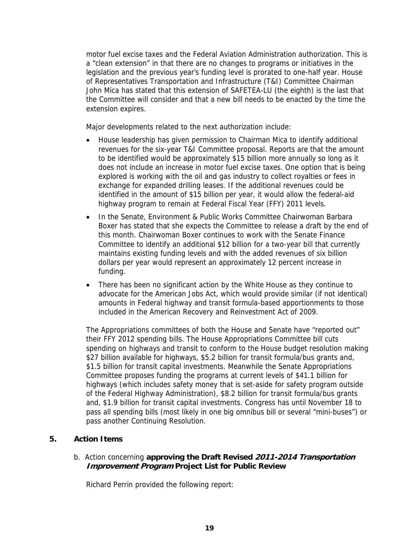motor fuel excise taxes and the Federal Aviation Administration authorization. This is a "clean extension" in that there are no changes to programs or initiatives in the legislation and the previous year's funding level is prorated to one-half year. House of Representatives Transportation and Infrastructure (T&I) Committee Chairman John Mica has stated that this extension of SAFETEA-LU (the eighth) is the last that the Committee will consider and that a new bill needs to be enacted by the time the extension expires.

Major developments related to the next authorization include:

- House leadership has given permission to Chairman Mica to identify additional revenues for the six-year T&I Committee proposal. Reports are that the amount to be identified would be approximately \$15 billion more annually so long as it does not include an increase in motor fuel excise taxes. One option that is being explored is working with the oil and gas industry to collect royalties or fees in exchange for expanded drilling leases. If the additional revenues could be identified in the amount of \$15 billion per year, it would allow the federal-aid highway program to remain at Federal Fiscal Year (FFY) 2011 levels.
- In the Senate, Environment & Public Works Committee Chairwoman Barbara Boxer has stated that she expects the Committee to release a draft by the end of this month. Chairwoman Boxer continues to work with the Senate Finance Committee to identify an additional \$12 billion for a two-year bill that currently maintains existing funding levels and with the added revenues of six billion dollars per year would represent an approximately 12 percent increase in funding.
- There has been no significant action by the White House as they continue to advocate for the American Jobs Act, which would provide similar (if not identical) amounts in Federal highway and transit formula-based apportionments to those included in the American Recovery and Reinvestment Act of 2009.

The Appropriations committees of both the House and Senate have "reported out" their FFY 2012 spending bills. The House Appropriations Committee bill cuts spending on highways and transit to conform to the House budget resolution making \$27 billion available for highways, \$5.2 billion for transit formula/bus grants and, \$1.5 billion for transit capital investments. Meanwhile the Senate Appropriations Committee proposes funding the programs at current levels of \$41.1 billion for highways (which includes safety money that is set-aside for safety program outside of the Federal Highway Administration), \$8.2 billion for transit formula/bus grants and, \$1.9 billion for transit capital investments. Congress has until November 18 to pass all spending bills (most likely in one big omnibus bill or several "mini-buses") or pass another Continuing Resolution.

## **5. Action Items**

# b. Action concerning **approving the Draft Revised 2011-2014 Transportation Improvement Program Project List for Public Review**

Richard Perrin provided the following report: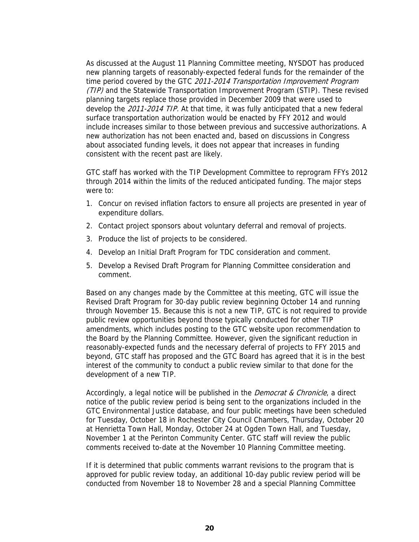As discussed at the August 11 Planning Committee meeting, NYSDOT has produced new planning targets of reasonably-expected federal funds for the remainder of the time period covered by the GTC 2011-2014 Transportation Improvement Program (TIP) and the Statewide Transportation Improvement Program (STIP). These revised planning targets replace those provided in December 2009 that were used to develop the 2011-2014 TIP. At that time, it was fully anticipated that a new federal surface transportation authorization would be enacted by FFY 2012 and would include increases similar to those between previous and successive authorizations. A new authorization has not been enacted and, based on discussions in Congress about associated funding levels, it does not appear that increases in funding consistent with the recent past are likely.

GTC staff has worked with the TIP Development Committee to reprogram FFYs 2012 through 2014 within the limits of the reduced anticipated funding. The major steps were to:

- 1. Concur on revised inflation factors to ensure all projects are presented in year of expenditure dollars.
- 2. Contact project sponsors about voluntary deferral and removal of projects.
- 3. Produce the list of projects to be considered.
- 4. Develop an Initial Draft Program for TDC consideration and comment.
- 5. Develop a Revised Draft Program for Planning Committee consideration and comment.

Based on any changes made by the Committee at this meeting, GTC will issue the Revised Draft Program for 30-day public review beginning October 14 and running through November 15. Because this is not a new TIP, GTC is not required to provide public review opportunities beyond those typically conducted for other TIP amendments, which includes posting to the GTC website upon recommendation to the Board by the Planning Committee. However, given the significant reduction in reasonably-expected funds and the necessary deferral of projects to FFY 2015 and beyond, GTC staff has proposed and the GTC Board has agreed that it is in the best interest of the community to conduct a public review similar to that done for the development of a new TIP.

Accordingly, a legal notice will be published in the *Democrat & Chronicle*, a direct notice of the public review period is being sent to the organizations included in the GTC Environmental Justice database, and four public meetings have been scheduled for Tuesday, October 18 in Rochester City Council Chambers, Thursday, October 20 at Henrietta Town Hall, Monday, October 24 at Ogden Town Hall, and Tuesday, November 1 at the Perinton Community Center. GTC staff will review the public comments received to-date at the November 10 Planning Committee meeting.

If it is determined that public comments warrant revisions to the program that is approved for public review today, an additional 10-day public review period will be conducted from November 18 to November 28 and a special Planning Committee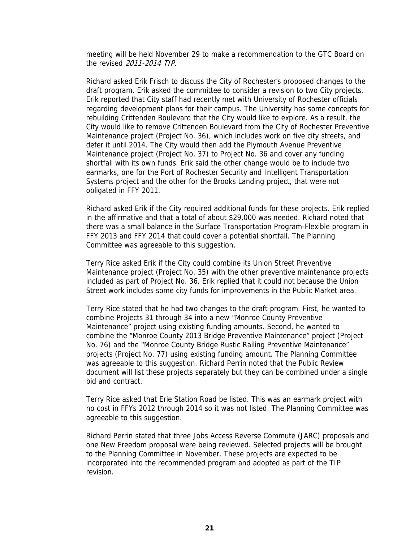meeting will be held November 29 to make a recommendation to the GTC Board on the revised 2011-2014 TIP.

Richard asked Erik Frisch to discuss the City of Rochester's proposed changes to the draft program. Erik asked the committee to consider a revision to two City projects. Erik reported that City staff had recently met with University of Rochester officials regarding development plans for their campus. The University has some concepts for rebuilding Crittenden Boulevard that the City would like to explore. As a result, the City would like to remove Crittenden Boulevard from the City of Rochester Preventive Maintenance project (Project No. 36), which includes work on five city streets, and defer it until 2014. The City would then add the Plymouth Avenue Preventive Maintenance project (Project No. 37) to Project No. 36 and cover any funding shortfall with its own funds. Erik said the other change would be to include two earmarks, one for the Port of Rochester Security and Intelligent Transportation Systems project and the other for the Brooks Landing project, that were not obligated in FFY 2011.

Richard asked Erik if the City required additional funds for these projects. Erik replied in the affirmative and that a total of about \$29,000 was needed. Richard noted that there was a small balance in the Surface Transportation Program-Flexible program in FFY 2013 and FFY 2014 that could cover a potential shortfall. The Planning Committee was agreeable to this suggestion.

Terry Rice asked Erik if the City could combine its Union Street Preventive Maintenance project (Project No. 35) with the other preventive maintenance projects included as part of Project No. 36. Erik replied that it could not because the Union Street work includes some city funds for improvements in the Public Market area.

Terry Rice stated that he had two changes to the draft program. First, he wanted to combine Projects 31 through 34 into a new "Monroe County Preventive Maintenance" project using existing funding amounts. Second, he wanted to combine the "Monroe County 2013 Bridge Preventive Maintenance" project (Project No. 76) and the "Monroe County Bridge Rustic Railing Preventive Maintenance" projects (Project No. 77) using existing funding amount. The Planning Committee was agreeable to this suggestion. Richard Perrin noted that the Public Review document will list these projects separately but they can be combined under a single bid and contract.

Terry Rice asked that Erie Station Road be listed. This was an earmark project with no cost in FFYs 2012 through 2014 so it was not listed. The Planning Committee was agreeable to this suggestion.

Richard Perrin stated that three Jobs Access Reverse Commute (JARC) proposals and one New Freedom proposal were being reviewed. Selected projects will be brought to the Planning Committee in November. These projects are expected to be incorporated into the recommended program and adopted as part of the TIP revision.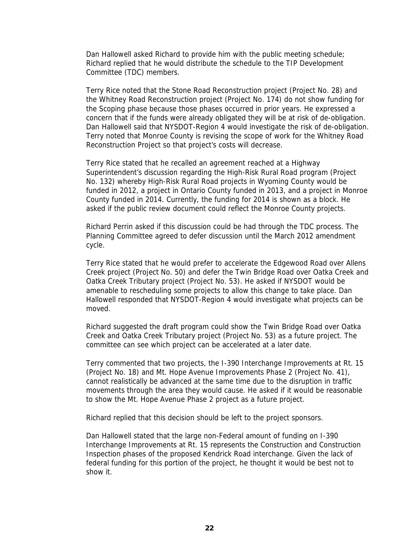Dan Hallowell asked Richard to provide him with the public meeting schedule; Richard replied that he would distribute the schedule to the TIP Development Committee (TDC) members.

Terry Rice noted that the Stone Road Reconstruction project (Project No. 28) and the Whitney Road Reconstruction project (Project No. 174) do not show funding for the Scoping phase because those phases occurred in prior years. He expressed a concern that if the funds were already obligated they will be at risk of de-obligation. Dan Hallowell said that NYSDOT-Region 4 would investigate the risk of de-obligation. Terry noted that Monroe County is revising the scope of work for the Whitney Road Reconstruction Project so that project's costs will decrease.

Terry Rice stated that he recalled an agreement reached at a Highway Superintendent's discussion regarding the High-Risk Rural Road program (Project No. 132) whereby High-Risk Rural Road projects in Wyoming County would be funded in 2012, a project in Ontario County funded in 2013, and a project in Monroe County funded in 2014. Currently, the funding for 2014 is shown as a block. He asked if the public review document could reflect the Monroe County projects.

Richard Perrin asked if this discussion could be had through the TDC process. The Planning Committee agreed to defer discussion until the March 2012 amendment cycle.

Terry Rice stated that he would prefer to accelerate the Edgewood Road over Allens Creek project (Project No. 50) and defer the Twin Bridge Road over Oatka Creek and Oatka Creek Tributary project (Project No. 53). He asked if NYSDOT would be amenable to rescheduling some projects to allow this change to take place. Dan Hallowell responded that NYSDOT-Region 4 would investigate what projects can be moved.

Richard suggested the draft program could show the Twin Bridge Road over Oatka Creek and Oatka Creek Tributary project (Project No. 53) as a future project. The committee can see which project can be accelerated at a later date.

Terry commented that two projects, the I-390 Interchange Improvements at Rt. 15 (Project No. 18) and Mt. Hope Avenue Improvements Phase 2 (Project No. 41), cannot realistically be advanced at the same time due to the disruption in traffic movements through the area they would cause. He asked if it would be reasonable to show the Mt. Hope Avenue Phase 2 project as a future project.

Richard replied that this decision should be left to the project sponsors.

Dan Hallowell stated that the large non-Federal amount of funding on I-390 Interchange Improvements at Rt. 15 represents the Construction and Construction Inspection phases of the proposed Kendrick Road interchange. Given the lack of federal funding for this portion of the project, he thought it would be best not to show it.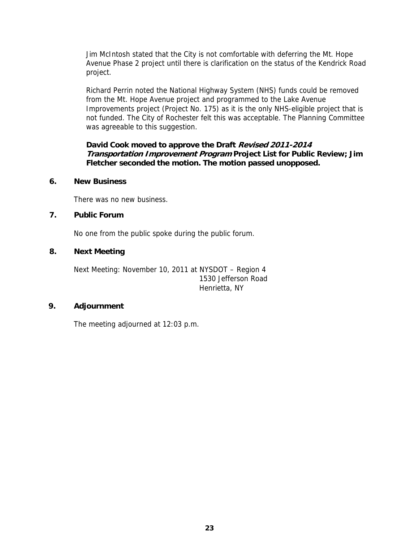Jim McIntosh stated that the City is not comfortable with deferring the Mt. Hope Avenue Phase 2 project until there is clarification on the status of the Kendrick Road project.

Richard Perrin noted the National Highway System (NHS) funds could be removed from the Mt. Hope Avenue project and programmed to the Lake Avenue Improvements project (Project No. 175) as it is the only NHS-eligible project that is not funded. The City of Rochester felt this was acceptable. The Planning Committee was agreeable to this suggestion.

## **David Cook moved to approve the Draft Revised 2011-2014 Transportation Improvement Program Project List for Public Review; Jim Fletcher seconded the motion. The motion passed unopposed.**

## **6. New Business**

There was no new business.

# **7. Public Forum**

No one from the public spoke during the public forum.

#### **8. Next Meeting**

Next Meeting: November 10, 2011 at NYSDOT – Region 4 1530 Jefferson Road Henrietta, NY

#### **9. Adjournment**

The meeting adjourned at 12:03 p.m.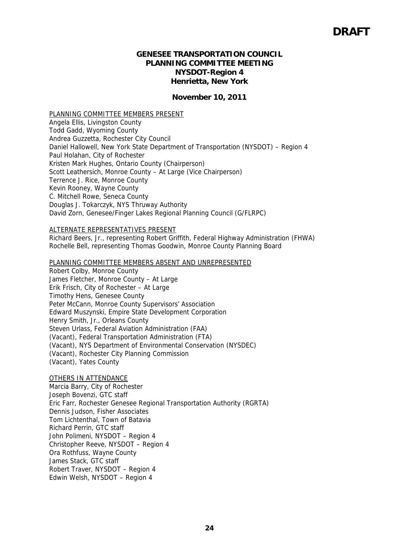## **GENESEE TRANSPORTATION COUNCIL PLANNING COMMITTEE MEETING NYSDOT-Region 4 Henrietta, New York**

#### **November 10, 2011**

PLANNING COMMITTEE MEMBERS PRESENT Angela Ellis, Livingston County Todd Gadd, Wyoming County Andrea Guzzetta, Rochester City Council Daniel Hallowell, New York State Department of Transportation (NYSDOT) – Region 4 Paul Holahan, City of Rochester Kristen Mark Hughes, Ontario County (Chairperson) Scott Leathersich, Monroe County – At Large (Vice Chairperson) Terrence J. Rice, Monroe County Kevin Rooney, Wayne County C. Mitchell Rowe, Seneca County Douglas J. Tokarczyk, NYS Thruway Authority David Zorn, Genesee/Finger Lakes Regional Planning Council (G/FLRPC)

#### ALTERNATE REPRESENTATIVES PRESENT

Richard Beers, Jr., representing Robert Griffith, Federal Highway Administration (FHWA) Rochelle Bell, representing Thomas Goodwin, Monroe County Planning Board

#### PLANNING COMMITTEE MEMBERS ABSENT AND UNREPRESENTED

Robert Colby, Monroe County James Fletcher, Monroe County – At Large Erik Frisch, City of Rochester – At Large Timothy Hens, Genesee County Peter McCann, Monroe County Supervisors' Association Edward Muszynski, Empire State Development Corporation Henry Smith, Jr., Orleans County Steven Urlass, Federal Aviation Administration (FAA) (Vacant), Federal Transportation Administration (FTA) (Vacant), NYS Department of Environmental Conservation (NYSDEC) (Vacant), Rochester City Planning Commission (Vacant), Yates County

#### OTHERS IN ATTENDANCE

Marcia Barry, City of Rochester Joseph Bovenzi, GTC staff Eric Farr, Rochester Genesee Regional Transportation Authority (RGRTA) Dennis Judson, Fisher Associates Tom Lichtenthal, Town of Batavia Richard Perrin, GTC staff John Polimeni, NYSDOT – Region 4 Christopher Reeve, NYSDOT – Region 4 Ora Rothfuss, Wayne County James Stack, GTC staff Robert Traver, NYSDOT – Region 4 Edwin Welsh, NYSDOT – Region 4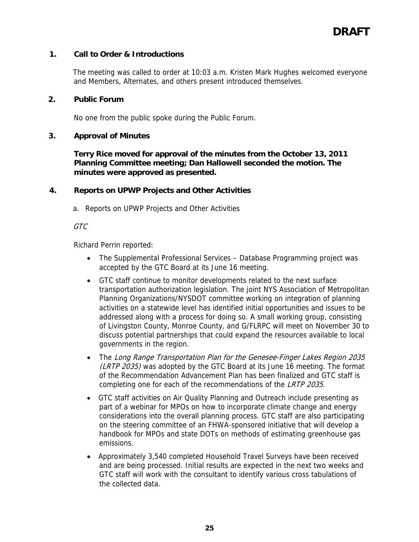# **1. Call to Order & Introductions**

The meeting was called to order at 10:03 a.m. Kristen Mark Hughes welcomed everyone and Members, Alternates, and others present introduced themselves.

# **2. Public Forum**

No one from the public spoke during the Public Forum.

#### **3. Approval of Minutes**

**Terry Rice moved for approval of the minutes from the October 13, 2011 Planning Committee meeting; Dan Hallowell seconded the motion. The minutes were approved as presented.** 

## **4. Reports on UPWP Projects and Other Activities**

a. Reports on UPWP Projects and Other Activities

#### GTC

Richard Perrin reported:

- The Supplemental Professional Services Database Programming project was accepted by the GTC Board at its June 16 meeting.
- GTC staff continue to monitor developments related to the next surface transportation authorization legislation. The joint NYS Association of Metropolitan Planning Organizations/NYSDOT committee working on integration of planning activities on a statewide level has identified initial opportunities and issues to be addressed along with a process for doing so. A small working group, consisting of Livingston County, Monroe County, and G/FLRPC will meet on November 30 to discuss potential partnerships that could expand the resources available to local governments in the region.
- The Long Range Transportation Plan for the Genesee-Finger Lakes Region 2035 (LRTP 2035) was adopted by the GTC Board at its June 16 meeting. The format of the Recommendation Advancement Plan has been finalized and GTC staff is completing one for each of the recommendations of the LRTP 2035.
- GTC staff activities on Air Quality Planning and Outreach include presenting as part of a webinar for MPOs on how to incorporate climate change and energy considerations into the overall planning process. GTC staff are also participating on the steering committee of an FHWA-sponsored initiative that will develop a handbook for MPOs and state DOTs on methods of estimating greenhouse gas emissions.
- Approximately 3,540 completed Household Travel Surveys have been received and are being processed. Initial results are expected in the next two weeks and GTC staff will work with the consultant to identify various cross tabulations of the collected data.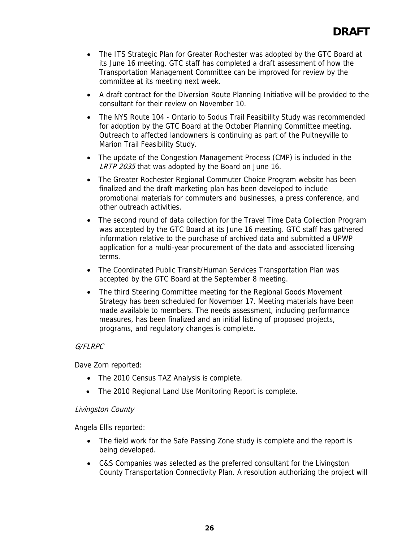- The ITS Strategic Plan for Greater Rochester was adopted by the GTC Board at its June 16 meeting. GTC staff has completed a draft assessment of how the Transportation Management Committee can be improved for review by the committee at its meeting next week.
- A draft contract for the Diversion Route Planning Initiative will be provided to the consultant for their review on November 10.
- The NYS Route 104 Ontario to Sodus Trail Feasibility Study was recommended for adoption by the GTC Board at the October Planning Committee meeting. Outreach to affected landowners is continuing as part of the Pultneyville to Marion Trail Feasibility Study.
- The update of the Congestion Management Process (CMP) is included in the LRTP 2035 that was adopted by the Board on June 16.
- The Greater Rochester Regional Commuter Choice Program website has been finalized and the draft marketing plan has been developed to include promotional materials for commuters and businesses, a press conference, and other outreach activities.
- The second round of data collection for the Travel Time Data Collection Program was accepted by the GTC Board at its June 16 meeting. GTC staff has gathered information relative to the purchase of archived data and submitted a UPWP application for a multi-year procurement of the data and associated licensing terms.
- The Coordinated Public Transit/Human Services Transportation Plan was accepted by the GTC Board at the September 8 meeting.
- The third Steering Committee meeting for the Regional Goods Movement Strategy has been scheduled for November 17. Meeting materials have been made available to members. The needs assessment, including performance measures, has been finalized and an initial listing of proposed projects, programs, and regulatory changes is complete.

## G/FLRPC

Dave Zorn reported:

- The 2010 Census TAZ Analysis is complete.
- The 2010 Regional Land Use Monitoring Report is complete.

## Livingston County

Angela Ellis reported:

- The field work for the Safe Passing Zone study is complete and the report is being developed.
- C&S Companies was selected as the preferred consultant for the Livingston County Transportation Connectivity Plan. A resolution authorizing the project will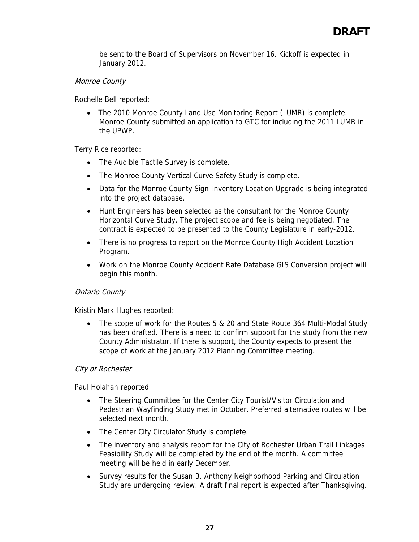be sent to the Board of Supervisors on November 16. Kickoff is expected in January 2012.

# Monroe County

Rochelle Bell reported:

• The 2010 Monroe County Land Use Monitoring Report (LUMR) is complete. Monroe County submitted an application to GTC for including the 2011 LUMR in the UPWP.

Terry Rice reported:

- The Audible Tactile Survey is complete.
- The Monroe County Vertical Curve Safety Study is complete.
- Data for the Monroe County Sign Inventory Location Upgrade is being integrated into the project database.
- Hunt Engineers has been selected as the consultant for the Monroe County Horizontal Curve Study. The project scope and fee is being negotiated. The contract is expected to be presented to the County Legislature in early-2012.
- There is no progress to report on the Monroe County High Accident Location Program.
- Work on the Monroe County Accident Rate Database GIS Conversion project will begin this month.

## Ontario County

Kristin Mark Hughes reported:

• The scope of work for the Routes 5 & 20 and State Route 364 Multi-Modal Study has been drafted. There is a need to confirm support for the study from the new County Administrator. If there is support, the County expects to present the scope of work at the January 2012 Planning Committee meeting.

## City of Rochester

Paul Holahan reported:

- The Steering Committee for the Center City Tourist/Visitor Circulation and Pedestrian Wayfinding Study met in October. Preferred alternative routes will be selected next month.
- The Center City Circulator Study is complete.
- The inventory and analysis report for the City of Rochester Urban Trail Linkages Feasibility Study will be completed by the end of the month. A committee meeting will be held in early December.
- Survey results for the Susan B. Anthony Neighborhood Parking and Circulation Study are undergoing review. A draft final report is expected after Thanksgiving.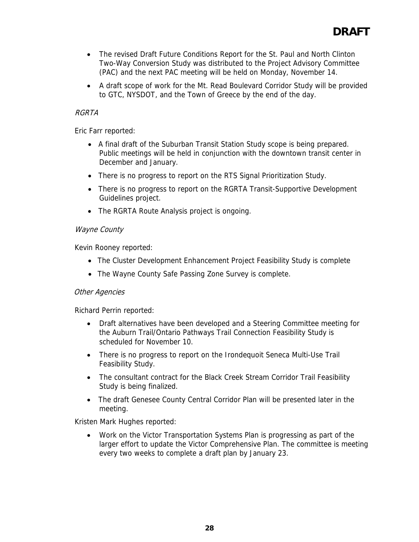- The revised Draft Future Conditions Report for the St. Paul and North Clinton Two-Way Conversion Study was distributed to the Project Advisory Committee (PAC) and the next PAC meeting will be held on Monday, November 14.
- A draft scope of work for the Mt. Read Boulevard Corridor Study will be provided to GTC, NYSDOT, and the Town of Greece by the end of the day.

# RGRTA

Eric Farr reported:

- A final draft of the Suburban Transit Station Study scope is being prepared. Public meetings will be held in conjunction with the downtown transit center in December and January.
- There is no progress to report on the RTS Signal Prioritization Study.
- There is no progress to report on the RGRTA Transit-Supportive Development Guidelines project.
- The RGRTA Route Analysis project is ongoing.

# Wayne County

Kevin Rooney reported:

- The Cluster Development Enhancement Project Feasibility Study is complete
- The Wayne County Safe Passing Zone Survey is complete.

## Other Agencies

Richard Perrin reported:

- Draft alternatives have been developed and a Steering Committee meeting for the Auburn Trail/Ontario Pathways Trail Connection Feasibility Study is scheduled for November 10.
- There is no progress to report on the Irondequoit Seneca Multi-Use Trail Feasibility Study.
- The consultant contract for the Black Creek Stream Corridor Trail Feasibility Study is being finalized.
- The draft Genesee County Central Corridor Plan will be presented later in the meeting.

Kristen Mark Hughes reported:

• Work on the Victor Transportation Systems Plan is progressing as part of the larger effort to update the Victor Comprehensive Plan. The committee is meeting every two weeks to complete a draft plan by January 23.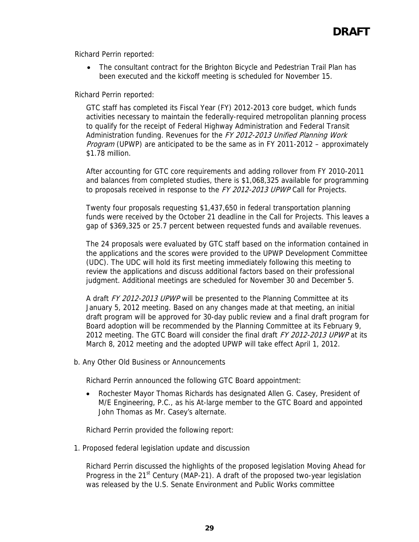Richard Perrin reported:

• The consultant contract for the Brighton Bicycle and Pedestrian Trail Plan has been executed and the kickoff meeting is scheduled for November 15.

Richard Perrin reported:

GTC staff has completed its Fiscal Year (FY) 2012-2013 core budget, which funds activities necessary to maintain the federally-required metropolitan planning process to qualify for the receipt of Federal Highway Administration and Federal Transit Administration funding. Revenues for the FY 2012-2013 Unified Planning Work Program (UPWP) are anticipated to be the same as in FY 2011-2012 – approximately \$1.78 million.

After accounting for GTC core requirements and adding rollover from FY 2010-2011 and balances from completed studies, there is \$1,068,325 available for programming to proposals received in response to the FY 2012-2013 UPWP Call for Projects.

Twenty four proposals requesting \$1,437,650 in federal transportation planning funds were received by the October 21 deadline in the Call for Projects. This leaves a gap of \$369,325 or 25.7 percent between requested funds and available revenues.

The 24 proposals were evaluated by GTC staff based on the information contained in the applications and the scores were provided to the UPWP Development Committee (UDC). The UDC will hold its first meeting immediately following this meeting to review the applications and discuss additional factors based on their professional judgment. Additional meetings are scheduled for November 30 and December 5.

A draft FY 2012-2013 UPWP will be presented to the Planning Committee at its January 5, 2012 meeting. Based on any changes made at that meeting, an initial draft program will be approved for 30-day public review and a final draft program for Board adoption will be recommended by the Planning Committee at its February 9, 2012 meeting. The GTC Board will consider the final draft FY 2012-2013 UPWP at its March 8, 2012 meeting and the adopted UPWP will take effect April 1, 2012.

b. Any Other Old Business or Announcements

Richard Perrin announced the following GTC Board appointment:

• Rochester Mayor Thomas Richards has designated Allen G. Casey, President of M/E Engineering, P.C., as his At-large member to the GTC Board and appointed John Thomas as Mr. Casey's alternate.

Richard Perrin provided the following report:

1. Proposed federal legislation update and discussion

Richard Perrin discussed the highlights of the proposed legislation Moving Ahead for Progress in the  $21<sup>st</sup>$  Century (MAP-21). A draft of the proposed two-year legislation was released by the U.S. Senate Environment and Public Works committee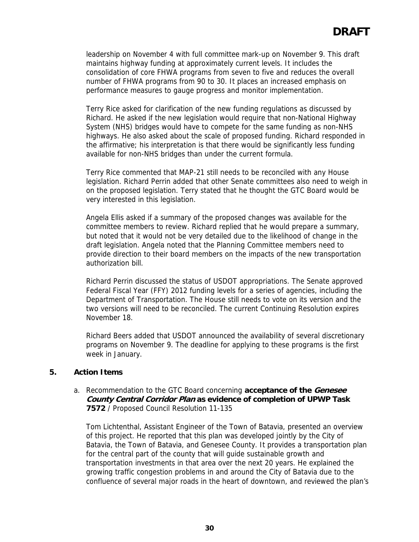leadership on November 4 with full committee mark-up on November 9. This draft maintains highway funding at approximately current levels. It includes the consolidation of core FHWA programs from seven to five and reduces the overall number of FHWA programs from 90 to 30. It places an increased emphasis on performance measures to gauge progress and monitor implementation.

Terry Rice asked for clarification of the new funding regulations as discussed by Richard. He asked if the new legislation would require that non-National Highway System (NHS) bridges would have to compete for the same funding as non-NHS highways. He also asked about the scale of proposed funding. Richard responded in the affirmative; his interpretation is that there would be significantly less funding available for non-NHS bridges than under the current formula.

Terry Rice commented that MAP-21 still needs to be reconciled with any House legislation. Richard Perrin added that other Senate committees also need to weigh in on the proposed legislation. Terry stated that he thought the GTC Board would be very interested in this legislation.

Angela Ellis asked if a summary of the proposed changes was available for the committee members to review. Richard replied that he would prepare a summary, but noted that it would not be very detailed due to the likelihood of change in the draft legislation. Angela noted that the Planning Committee members need to provide direction to their board members on the impacts of the new transportation authorization bill.

Richard Perrin discussed the status of USDOT appropriations. The Senate approved Federal Fiscal Year (FFY) 2012 funding levels for a series of agencies, including the Department of Transportation. The House still needs to vote on its version and the two versions will need to be reconciled. The current Continuing Resolution expires November 18.

Richard Beers added that USDOT announced the availability of several discretionary programs on November 9. The deadline for applying to these programs is the first week in January.

## **5. Action Items**

#### a. Recommendation to the GTC Board concerning **acceptance of the Genesee County Central Corridor Plan as evidence of completion of UPWP Task 7572** / Proposed Council Resolution 11-135

Tom Lichtenthal, Assistant Engineer of the Town of Batavia, presented an overview of this project. He reported that this plan was developed jointly by the City of Batavia, the Town of Batavia, and Genesee County. It provides a transportation plan for the central part of the county that will guide sustainable growth and transportation investments in that area over the next 20 years. He explained the growing traffic congestion problems in and around the City of Batavia due to the confluence of several major roads in the heart of downtown, and reviewed the plan's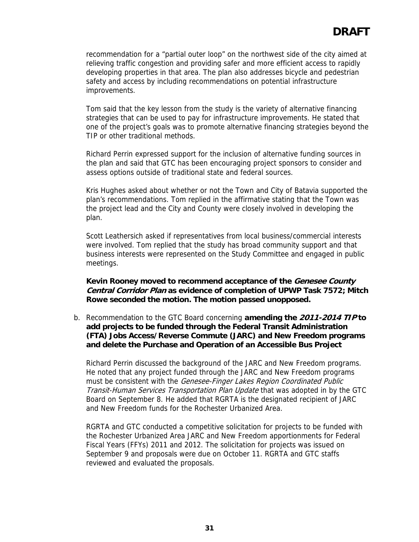recommendation for a "partial outer loop" on the northwest side of the city aimed at relieving traffic congestion and providing safer and more efficient access to rapidly developing properties in that area. The plan also addresses bicycle and pedestrian safety and access by including recommendations on potential infrastructure improvements.

Tom said that the key lesson from the study is the variety of alternative financing strategies that can be used to pay for infrastructure improvements. He stated that one of the project's goals was to promote alternative financing strategies beyond the TIP or other traditional methods.

Richard Perrin expressed support for the inclusion of alternative funding sources in the plan and said that GTC has been encouraging project sponsors to consider and assess options outside of traditional state and federal sources.

Kris Hughes asked about whether or not the Town and City of Batavia supported the plan's recommendations. Tom replied in the affirmative stating that the Town was the project lead and the City and County were closely involved in developing the plan.

Scott Leathersich asked if representatives from local business/commercial interests were involved. Tom replied that the study has broad community support and that business interests were represented on the Study Committee and engaged in public meetings.

**Kevin Rooney moved to recommend acceptance of the Genesee County Central Corridor Plan as evidence of completion of UPWP Task 7572; Mitch Rowe seconded the motion. The motion passed unopposed.**

b. Recommendation to the GTC Board concerning **amending the 2011-2014 TIP to add projects to be funded through the Federal Transit Administration (FTA) Jobs Access/Reverse Commute (JARC) and New Freedom programs and delete the Purchase and Operation of an Accessible Bus Project**

Richard Perrin discussed the background of the JARC and New Freedom programs. He noted that any project funded through the JARC and New Freedom programs must be consistent with the Genesee-Finger Lakes Region Coordinated Public Transit-Human Services Transportation Plan Update that was adopted in by the GTC Board on September 8. He added that RGRTA is the designated recipient of JARC and New Freedom funds for the Rochester Urbanized Area.

RGRTA and GTC conducted a competitive solicitation for projects to be funded with the Rochester Urbanized Area JARC and New Freedom apportionments for Federal Fiscal Years (FFYs) 2011 and 2012. The solicitation for projects was issued on September 9 and proposals were due on October 11. RGRTA and GTC staffs reviewed and evaluated the proposals.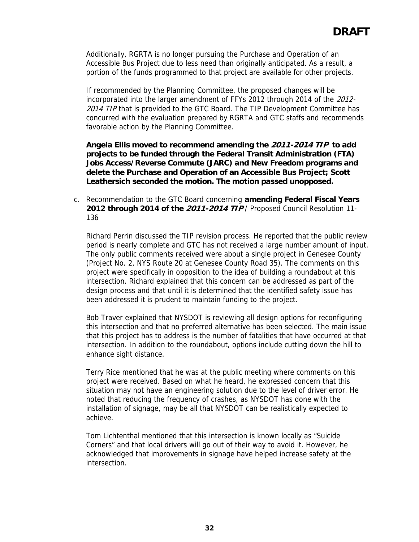Additionally, RGRTA is no longer pursuing the Purchase and Operation of an Accessible Bus Project due to less need than originally anticipated. As a result, a portion of the funds programmed to that project are available for other projects.

If recommended by the Planning Committee, the proposed changes will be incorporated into the larger amendment of FFYs 2012 through 2014 of the 2012- 2014 TIP that is provided to the GTC Board. The TIP Development Committee has concurred with the evaluation prepared by RGRTA and GTC staffs and recommends favorable action by the Planning Committee.

**Angela Ellis moved to recommend amending the 2011-2014 TIP to add projects to be funded through the Federal Transit Administration (FTA) Jobs Access/Reverse Commute (JARC) and New Freedom programs and delete the Purchase and Operation of an Accessible Bus Project; Scott Leathersich seconded the motion. The motion passed unopposed.**

c. Recommendation to the GTC Board concerning **amending Federal Fiscal Years 2012 through 2014 of the 2011-2014 TIP** / Proposed Council Resolution 11- 136

Richard Perrin discussed the TIP revision process. He reported that the public review period is nearly complete and GTC has not received a large number amount of input. The only public comments received were about a single project in Genesee County (Project No. 2, NYS Route 20 at Genesee County Road 35). The comments on this project were specifically in opposition to the idea of building a roundabout at this intersection. Richard explained that this concern can be addressed as part of the design process and that until it is determined that the identified safety issue has been addressed it is prudent to maintain funding to the project.

Bob Traver explained that NYSDOT is reviewing all design options for reconfiguring this intersection and that no preferred alternative has been selected. The main issue that this project has to address is the number of fatalities that have occurred at that intersection. In addition to the roundabout, options include cutting down the hill to enhance sight distance.

Terry Rice mentioned that he was at the public meeting where comments on this project were received. Based on what he heard, he expressed concern that this situation may not have an engineering solution due to the level of driver error. He noted that reducing the frequency of crashes, as NYSDOT has done with the installation of signage, may be all that NYSDOT can be realistically expected to achieve.

Tom Lichtenthal mentioned that this intersection is known locally as "Suicide Corners" and that local drivers will go out of their way to avoid it. However, he acknowledged that improvements in signage have helped increase safety at the intersection.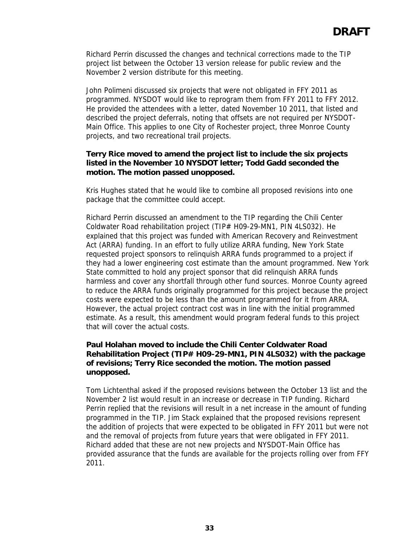Richard Perrin discussed the changes and technical corrections made to the TIP project list between the October 13 version release for public review and the November 2 version distribute for this meeting.

John Polimeni discussed six projects that were not obligated in FFY 2011 as programmed. NYSDOT would like to reprogram them from FFY 2011 to FFY 2012. He provided the attendees with a letter, dated November 10 2011, that listed and described the project deferrals, noting that offsets are not required per NYSDOT-Main Office. This applies to one City of Rochester project, three Monroe County projects, and two recreational trail projects.

## **Terry Rice moved to amend the project list to include the six projects listed in the November 10 NYSDOT letter; Todd Gadd seconded the motion. The motion passed unopposed.**

Kris Hughes stated that he would like to combine all proposed revisions into one package that the committee could accept.

Richard Perrin discussed an amendment to the TIP regarding the Chili Center Coldwater Road rehabilitation project (TIP# H09-29-MN1, PIN 4LS032). He explained that this project was funded with American Recovery and Reinvestment Act (ARRA) funding. In an effort to fully utilize ARRA funding, New York State requested project sponsors to relinquish ARRA funds programmed to a project if they had a lower engineering cost estimate than the amount programmed. New York State committed to hold any project sponsor that did relinquish ARRA funds harmless and cover any shortfall through other fund sources. Monroe County agreed to reduce the ARRA funds originally programmed for this project because the project costs were expected to be less than the amount programmed for it from ARRA. However, the actual project contract cost was in line with the initial programmed estimate. As a result, this amendment would program federal funds to this project that will cover the actual costs.

# **Paul Holahan moved to include the Chili Center Coldwater Road Rehabilitation Project (TIP# H09-29-MN1, PIN 4LS032) with the package of revisions; Terry Rice seconded the motion. The motion passed unopposed.**

Tom Lichtenthal asked if the proposed revisions between the October 13 list and the November 2 list would result in an increase or decrease in TIP funding. Richard Perrin replied that the revisions will result in a net increase in the amount of funding programmed in the TIP. Jim Stack explained that the proposed revisions represent the addition of projects that were expected to be obligated in FFY 2011 but were not and the removal of projects from future years that were obligated in FFY 2011. Richard added that these are not new projects and NYSDOT-Main Office has provided assurance that the funds are available for the projects rolling over from FFY 2011.